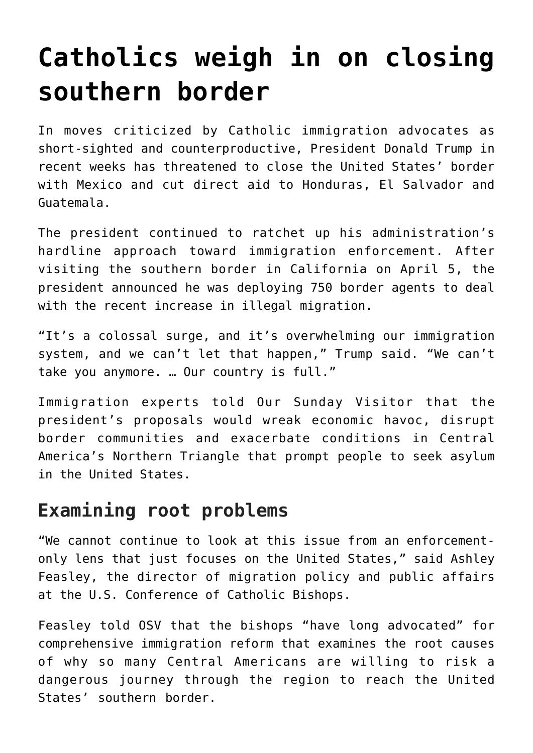# **[Catholics weigh in on closing](https://www.osvnews.com/2019/04/10/catholics-weigh-in-on-closing-southern-border/) [southern border](https://www.osvnews.com/2019/04/10/catholics-weigh-in-on-closing-southern-border/)**

In moves criticized by Catholic immigration advocates as short-sighted and counterproductive, President Donald Trump in recent weeks has threatened to close the United States' border with Mexico and cut direct aid to Honduras, El Salvador and Guatemala.

The president continued to ratchet up his administration's hardline approach toward immigration enforcement. After visiting the southern border in California on April 5, the president announced he was deploying 750 border agents to deal with the recent increase in illegal migration.

"It's a colossal surge, and it's overwhelming our immigration system, and we can't let that happen," Trump said. "We can't take you anymore. … Our country is full."

Immigration experts told Our Sunday Visitor that the president's proposals would wreak economic havoc, disrupt border communities and exacerbate conditions in Central America's Northern Triangle that prompt people to seek asylum in the United States.

## **Examining root problems**

"We cannot continue to look at this issue from an enforcementonly lens that just focuses on the United States," said Ashley Feasley, the director of migration policy and public affairs at the U.S. Conference of Catholic Bishops.

Feasley told OSV that the bishops "have long advocated" for comprehensive immigration reform that examines the root causes of why so many Central Americans are willing to risk a dangerous journey through the region to reach the United States' southern border.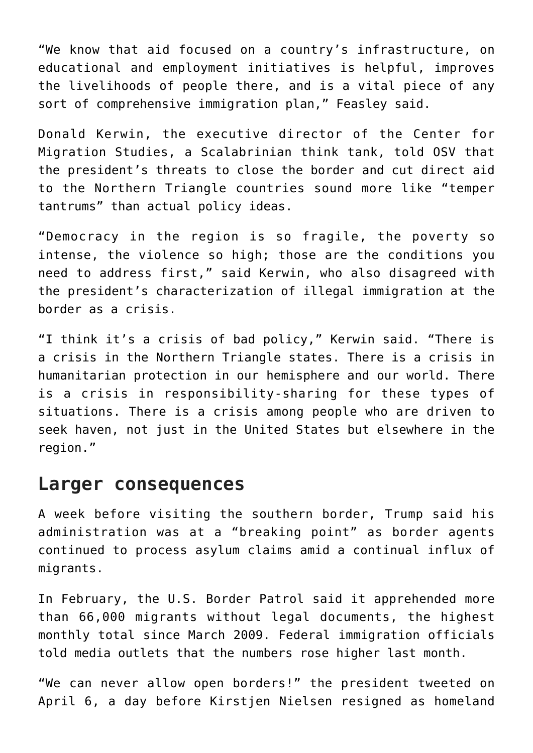"We know that aid focused on a country's infrastructure, on educational and employment initiatives is helpful, improves the livelihoods of people there, and is a vital piece of any sort of comprehensive immigration plan," Feasley said.

Donald Kerwin, the executive director of the Center for Migration Studies, a Scalabrinian think tank, told OSV that the president's threats to close the border and cut direct aid to the Northern Triangle countries sound more like "temper tantrums" than actual policy ideas.

"Democracy in the region is so fragile, the poverty so intense, the violence so high; those are the conditions you need to address first," said Kerwin, who also disagreed with the president's characterization of illegal immigration at the border as a crisis.

"I think it's a crisis of bad policy," Kerwin said. "There is a crisis in the Northern Triangle states. There is a crisis in humanitarian protection in our hemisphere and our world. There is a crisis in responsibility-sharing for these types of situations. There is a crisis among people who are driven to seek haven, not just in the United States but elsewhere in the region."

#### **Larger consequences**

A week before visiting the southern border, Trump said his administration was at a "breaking point" as border agents continued to process asylum claims amid a continual influx of migrants.

In February, the U.S. Border Patrol said it apprehended more than 66,000 migrants without legal documents, the highest monthly total since March 2009. Federal immigration officials told media outlets that the numbers rose higher last month.

"We can never allow open borders!" the president tweeted on April 6, a day before Kirstjen Nielsen resigned as homeland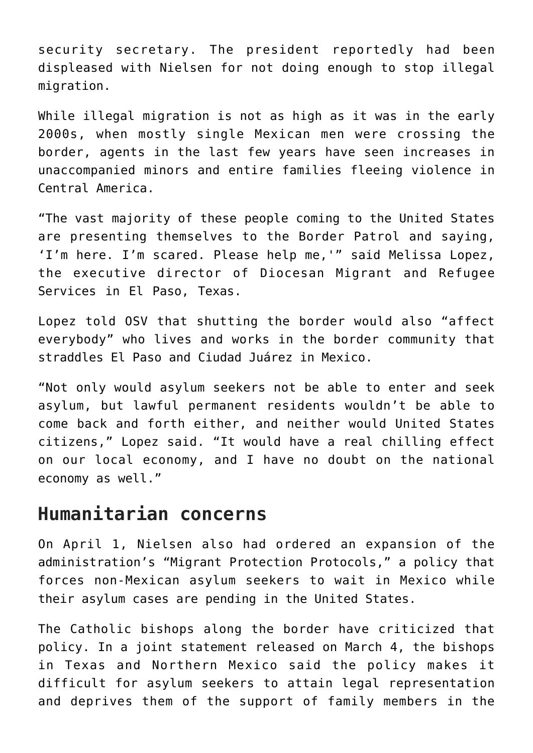security secretary. The president reportedly had been displeased with Nielsen for not doing enough to stop illegal migration.

While illegal migration is not as high as it was in the early 2000s, when mostly single Mexican men were crossing the border, agents in the last few years have seen increases in unaccompanied minors and entire families fleeing violence in Central America.

"The vast majority of these people coming to the United States are presenting themselves to the Border Patrol and saying, 'I'm here. I'm scared. Please help me,'" said Melissa Lopez, the executive director of Diocesan Migrant and Refugee Services in El Paso, Texas.

Lopez told OSV that shutting the border would also "affect everybody" who lives and works in the border community that straddles El Paso and Ciudad Juárez in Mexico.

"Not only would asylum seekers not be able to enter and seek asylum, but lawful permanent residents wouldn't be able to come back and forth either, and neither would United States citizens," Lopez said. "It would have a real chilling effect on our local economy, and I have no doubt on the national economy as well."

### **Humanitarian concerns**

On April 1, Nielsen also had ordered an expansion of the administration's "Migrant Protection Protocols," a policy that forces non-Mexican asylum seekers to wait in Mexico while their asylum cases are pending in the United States.

The Catholic bishops along the border have criticized that policy. In a joint statement released on March 4, the bishops in Texas and Northern Mexico said the policy makes it difficult for asylum seekers to attain legal representation and deprives them of the support of family members in the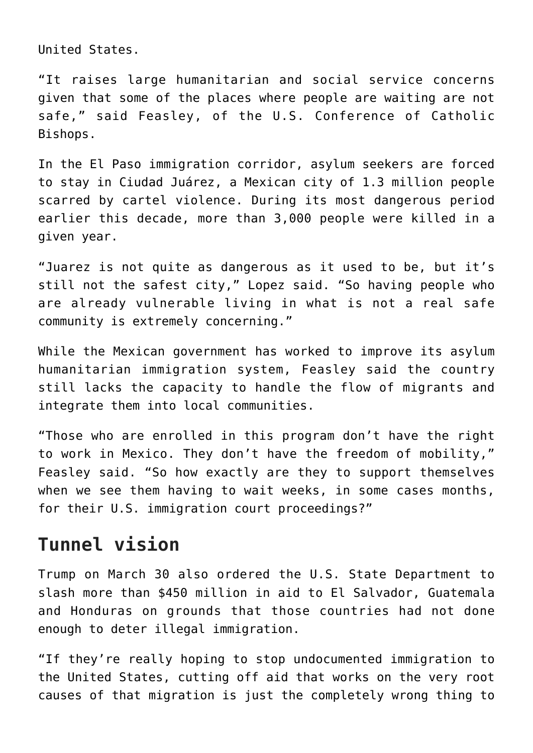United States.

"It raises large humanitarian and social service concerns given that some of the places where people are waiting are not safe," said Feasley, of the U.S. Conference of Catholic Bishops.

In the El Paso immigration corridor, asylum seekers are forced to stay in Ciudad Juárez, a Mexican city of 1.3 million people scarred by cartel violence. During its most dangerous period earlier this decade, more than 3,000 people were killed in a given year.

"Juarez is not quite as dangerous as it used to be, but it's still not the safest city," Lopez said. "So having people who are already vulnerable living in what is not a real safe community is extremely concerning."

While the Mexican government has worked to improve its asylum humanitarian immigration system, Feasley said the country still lacks the capacity to handle the flow of migrants and integrate them into local communities.

"Those who are enrolled in this program don't have the right to work in Mexico. They don't have the freedom of mobility," Feasley said. "So how exactly are they to support themselves when we see them having to wait weeks, in some cases months, for their U.S. immigration court proceedings?"

## **Tunnel vision**

Trump on March 30 also ordered the U.S. State Department to slash more than \$450 million in aid to El Salvador, Guatemala and Honduras on grounds that those countries had not done enough to deter illegal immigration.

"If they're really hoping to stop undocumented immigration to the United States, cutting off aid that works on the very root causes of that migration is just the completely wrong thing to